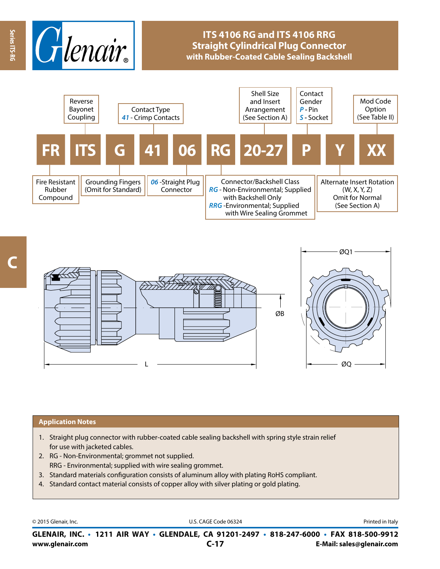

## **ITS 4106 RG and ITS 4106 RRG Straight Cylindrical Plug Connector with Rubber-Coated Cable Sealing Backshell**





## **Application Notes**

- 1. Straight plug connector with rubber-coated cable sealing backshell with spring style strain relief for use with jacketed cables.
- 2. RG Non-Environmental; grommet not supplied. RRG - Environmental; supplied with wire sealing grommet.
- 3. Standard materials configuration consists of aluminum alloy with plating RoHS compliant.
- 4. Standard contact material consists of copper alloy with silver plating or gold plating.

© 2015 Glenair, Inc. **Discription Construction Construction Construction Construction Construction Construction Construction Construction Construction Construction Construction Construction Construction Construction Constr** 

**www.glenair.com E-Mail: sales@glenair.com GLENAIR, INC. • 1211 AIR WAY • GLENDALE, CA 91201-2497 • 818-247-6000 • FAX 818-500-9912 C-17**